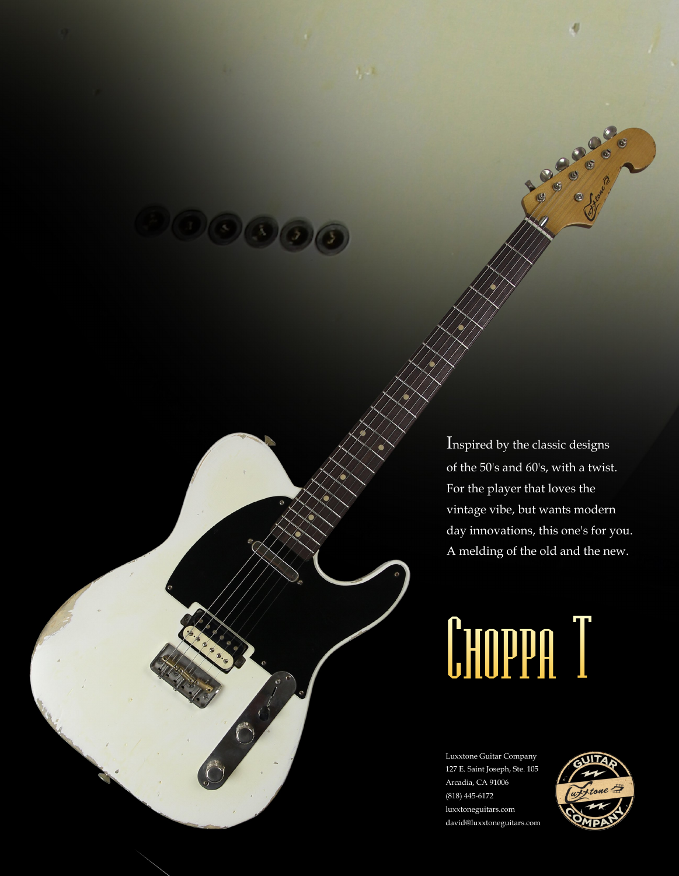Inspired by the classic designs of the 50's and 60's, with a twist. For the player that loves the vintage vibe, but wants modern day innovations, this one's for you. A melding of the old and the new.

# Choppa T

Luxxtone Guitar Company 127 E. Saint Joseph, Ste. 105 Arcadia, CA 91006 (818) 445-6172 luxxtoneguitars.com david@luxxtoneguitars.com